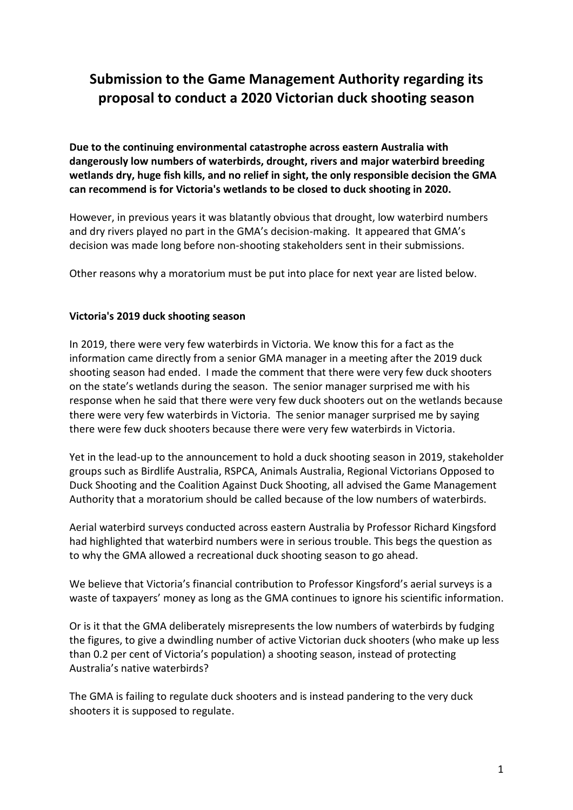# **Submission to the Game Management Authority regarding its proposal to conduct a 2020 Victorian duck shooting season**

**Due to the continuing environmental catastrophe across eastern Australia with dangerously low numbers of waterbirds, drought, rivers and major waterbird breeding wetlands dry, huge fish kills, and no relief in sight, the only responsible decision the GMA can recommend is for Victoria's wetlands to be closed to duck shooting in 2020.** 

However, in previous years it was blatantly obvious that drought, low waterbird numbers and dry rivers played no part in the GMA's decision-making. It appeared that GMA's decision was made long before non-shooting stakeholders sent in their submissions.

Other reasons why a moratorium must be put into place for next year are listed below.

## **Victoria's 2019 duck shooting season**

In 2019, there were very few waterbirds in Victoria. We know this for a fact as the information came directly from a senior GMA manager in a meeting after the 2019 duck shooting season had ended. I made the comment that there were very few duck shooters on the state's wetlands during the season. The senior manager surprised me with his response when he said that there were very few duck shooters out on the wetlands because there were very few waterbirds in Victoria. The senior manager surprised me by saying there were few duck shooters because there were very few waterbirds in Victoria.

Yet in the lead-up to the announcement to hold a duck shooting season in 2019, stakeholder groups such as Birdlife Australia, RSPCA, Animals Australia, Regional Victorians Opposed to Duck Shooting and the Coalition Against Duck Shooting, all advised the Game Management Authority that a moratorium should be called because of the low numbers of waterbirds.

Aerial waterbird surveys conducted across eastern Australia by Professor Richard Kingsford had highlighted that waterbird numbers were in serious trouble. This begs the question as to why the GMA allowed a recreational duck shooting season to go ahead.

We believe that Victoria's financial contribution to Professor Kingsford's aerial surveys is a waste of taxpayers' money as long as the GMA continues to ignore his scientific information.

Or is it that the GMA deliberately misrepresents the low numbers of waterbirds by fudging the figures, to give a dwindling number of active Victorian duck shooters (who make up less than 0.2 per cent of Victoria's population) a shooting season, instead of protecting Australia's native waterbirds?

The GMA is failing to regulate duck shooters and is instead pandering to the very duck shooters it is supposed to regulate.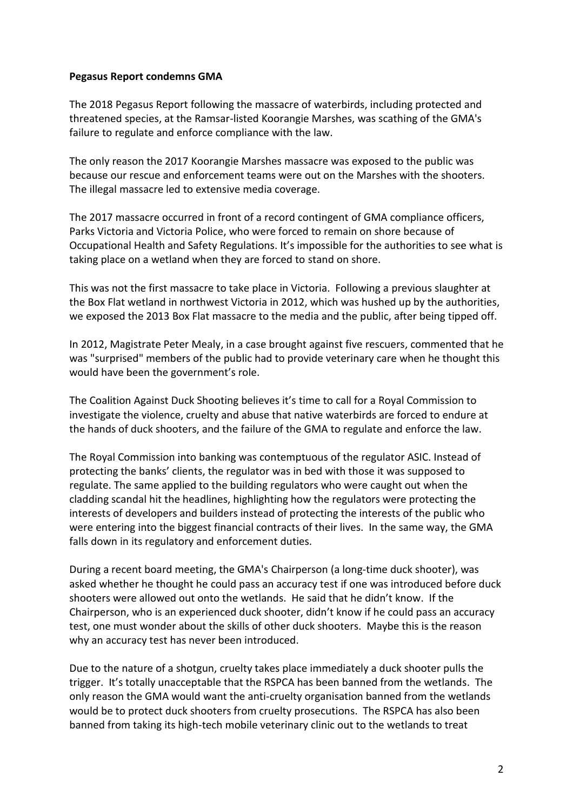#### **Pegasus Report condemns GMA**

The 2018 Pegasus Report following the massacre of waterbirds, including protected and threatened species, at the Ramsar-listed Koorangie Marshes, was scathing of the GMA's failure to regulate and enforce compliance with the law.

The only reason the 2017 Koorangie Marshes massacre was exposed to the public was because our rescue and enforcement teams were out on the Marshes with the shooters. The illegal massacre led to extensive media coverage.

The 2017 massacre occurred in front of a record contingent of GMA compliance officers, Parks Victoria and Victoria Police, who were forced to remain on shore because of Occupational Health and Safety Regulations. It's impossible for the authorities to see what is taking place on a wetland when they are forced to stand on shore.

This was not the first massacre to take place in Victoria. Following a previous slaughter at the Box Flat wetland in northwest Victoria in 2012, which was hushed up by the authorities, we exposed the 2013 Box Flat massacre to the media and the public, after being tipped off.

In 2012, Magistrate Peter Mealy, in a case brought against five rescuers, commented that he was "surprised" members of the public had to provide veterinary care when he thought this would have been the government's role.

The Coalition Against Duck Shooting believes it's time to call for a Royal Commission to investigate the violence, cruelty and abuse that native waterbirds are forced to endure at the hands of duck shooters, and the failure of the GMA to regulate and enforce the law.

The Royal Commission into banking was contemptuous of the regulator ASIC. Instead of protecting the banks' clients, the regulator was in bed with those it was supposed to regulate. The same applied to the building regulators who were caught out when the cladding scandal hit the headlines, highlighting how the regulators were protecting the interests of developers and builders instead of protecting the interests of the public who were entering into the biggest financial contracts of their lives. In the same way, the GMA falls down in its regulatory and enforcement duties.

During a recent board meeting, the GMA's Chairperson (a long-time duck shooter), was asked whether he thought he could pass an accuracy test if one was introduced before duck shooters were allowed out onto the wetlands. He said that he didn't know. If the Chairperson, who is an experienced duck shooter, didn't know if he could pass an accuracy test, one must wonder about the skills of other duck shooters. Maybe this is the reason why an accuracy test has never been introduced.

Due to the nature of a shotgun, cruelty takes place immediately a duck shooter pulls the trigger. It's totally unacceptable that the RSPCA has been banned from the wetlands. The only reason the GMA would want the anti-cruelty organisation banned from the wetlands would be to protect duck shooters from cruelty prosecutions. The RSPCA has also been banned from taking its high-tech mobile veterinary clinic out to the wetlands to treat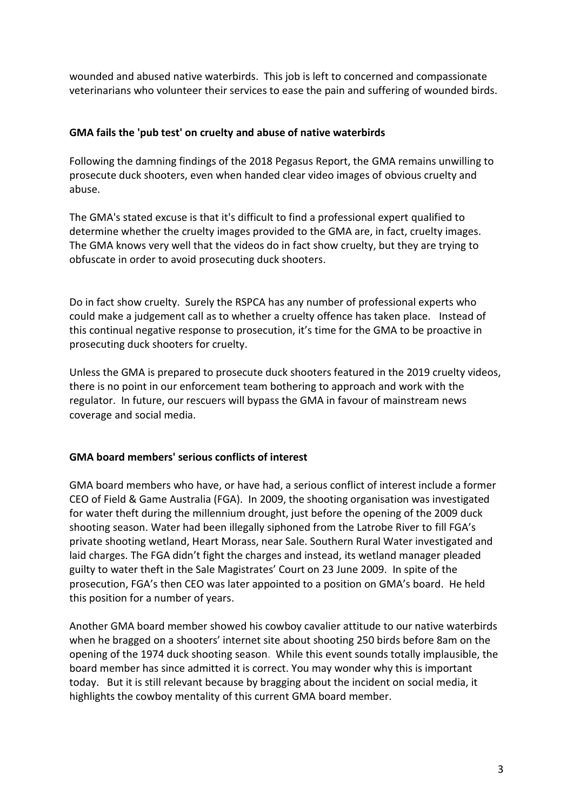wounded and abused native waterbirds. This job is left to concerned and compassionate veterinarians who volunteer their services to ease the pain and suffering of wounded birds.

## **GMA fails the 'pub test' on cruelty and abuse of native waterbirds**

Following the damning findings of the 2018 Pegasus Report, the GMA remains unwilling to prosecute duck shooters, even when handed clear video images of obvious cruelty and abuse.

The GMA's stated excuse is that it's difficult to find a professional expert qualified to determine whether the cruelty images provided to the GMA are, in fact, cruelty images. The GMA knows very well that the videos do in fact show cruelty, but they are trying to obfuscate in order to avoid prosecuting duck shooters.

Do in fact show cruelty. Surely the RSPCA has any number of professional experts who could make a judgement call as to whether a cruelty offence has taken place. Instead of this continual negative response to prosecution, it's time for the GMA to be proactive in prosecuting duck shooters for cruelty.

Unless the GMA is prepared to prosecute duck shooters featured in the 2019 cruelty videos, there is no point in our enforcement team bothering to approach and work with the regulator. In future, our rescuers will bypass the GMA in favour of mainstream news coverage and social media.

## **GMA board members' serious conflicts of interest**

GMA board members who have, or have had, a serious conflict of interest include a former CEO of Field & Game Australia (FGA). In 2009, the shooting organisation was investigated for water theft during the millennium drought, just before the opening of the 2009 duck shooting season. Water had been illegally siphoned from the Latrobe River to fill FGA's private shooting wetland, Heart Morass, near Sale. Southern Rural Water investigated and laid charges. The FGA didn't fight the charges and instead, its wetland manager pleaded guilty to water theft in the Sale Magistrates' Court on 23 June 2009. In spite of the prosecution, FGA's then CEO was later appointed to a position on GMA's board. He held this position for a number of years.

Another GMA board member showed his cowboy cavalier attitude to our native waterbirds when he bragged on a shooters' internet site about shooting 250 birds before 8am on the opening of the 1974 duck shooting season. While this event sounds totally implausible, the board member has since admitted it is correct. You may wonder why this is important today. But it is still relevant because by bragging about the incident on social media, it highlights the cowboy mentality of this current GMA board member.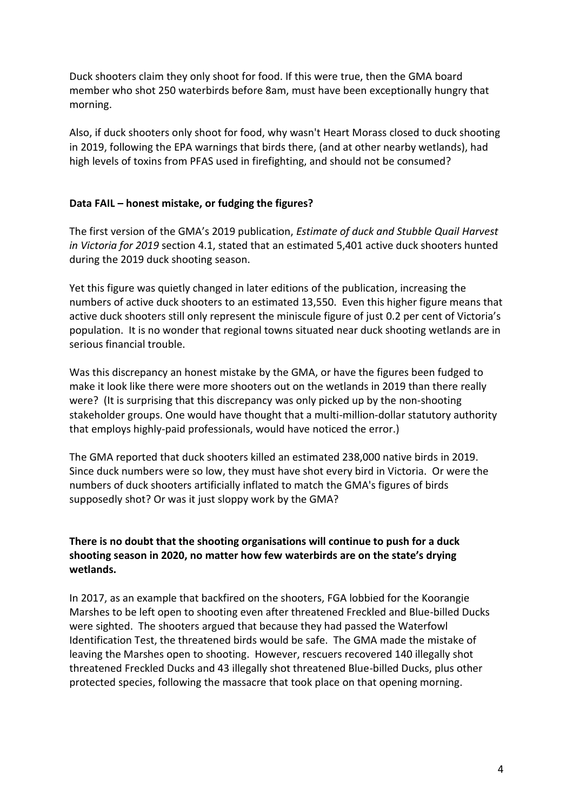Duck shooters claim they only shoot for food. If this were true, then the GMA board member who shot 250 waterbirds before 8am, must have been exceptionally hungry that morning.

Also, if duck shooters only shoot for food, why wasn't Heart Morass closed to duck shooting in 2019, following the EPA warnings that birds there, (and at other nearby wetlands), had high levels of toxins from PFAS used in firefighting, and should not be consumed?

#### **Data FAIL – honest mistake, or fudging the figures?**

The first version of the GMA's 2019 publication, *Estimate of duck and Stubble Quail Harvest in Victoria for 2019* section 4.1, stated that an estimated 5,401 active duck shooters hunted during the 2019 duck shooting season.

Yet this figure was quietly changed in later editions of the publication, increasing the numbers of active duck shooters to an estimated 13,550. Even this higher figure means that active duck shooters still only represent the miniscule figure of just 0.2 per cent of Victoria's population. It is no wonder that regional towns situated near duck shooting wetlands are in serious financial trouble.

Was this discrepancy an honest mistake by the GMA, or have the figures been fudged to make it look like there were more shooters out on the wetlands in 2019 than there really were? (It is surprising that this discrepancy was only picked up by the non-shooting stakeholder groups. One would have thought that a multi-million-dollar statutory authority that employs highly-paid professionals, would have noticed the error.)

The GMA reported that duck shooters killed an estimated 238,000 native birds in 2019. Since duck numbers were so low, they must have shot every bird in Victoria. Or were the numbers of duck shooters artificially inflated to match the GMA's figures of birds supposedly shot? Or was it just sloppy work by the GMA?

## **There is no doubt that the shooting organisations will continue to push for a duck shooting season in 2020, no matter how few waterbirds are on the state's drying wetlands.**

In 2017, as an example that backfired on the shooters, FGA lobbied for the Koorangie Marshes to be left open to shooting even after threatened Freckled and Blue-billed Ducks were sighted. The shooters argued that because they had passed the Waterfowl Identification Test, the threatened birds would be safe. The GMA made the mistake of leaving the Marshes open to shooting. However, rescuers recovered 140 illegally shot threatened Freckled Ducks and 43 illegally shot threatened Blue-billed Ducks, plus other protected species, following the massacre that took place on that opening morning.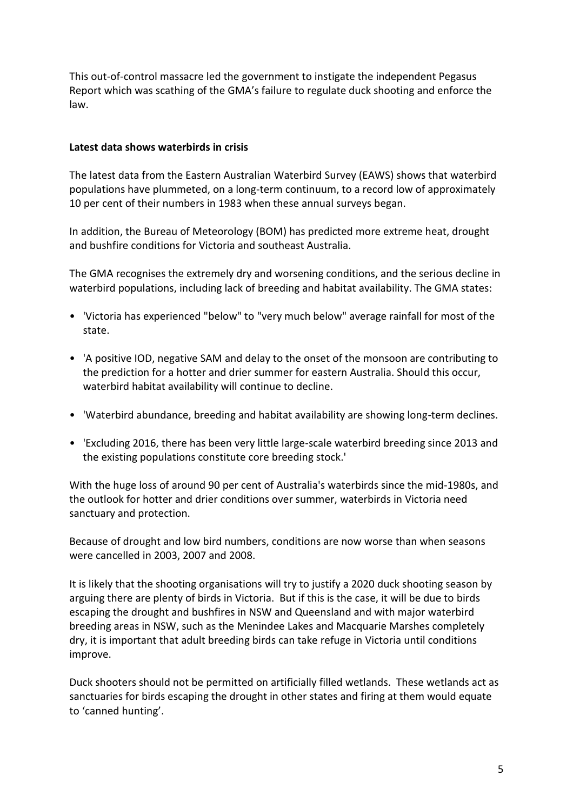This out-of-control massacre led the government to instigate the independent Pegasus Report which was scathing of the GMA's failure to regulate duck shooting and enforce the law.

#### **Latest data shows waterbirds in crisis**

The latest data from the Eastern Australian Waterbird Survey (EAWS) shows that waterbird populations have plummeted, on a long-term continuum, to a record low of approximately 10 per cent of their numbers in 1983 when these annual surveys began.

In addition, the Bureau of Meteorology (BOM) has predicted more extreme heat, drought and bushfire conditions for Victoria and southeast Australia.

The GMA recognises the extremely dry and worsening conditions, and the serious decline in waterbird populations, including lack of breeding and habitat availability. The GMA states:

- 'Victoria has experienced "below" to "very much below" average rainfall for most of the state.
- 'A positive IOD, negative SAM and delay to the onset of the monsoon are contributing to the prediction for a hotter and drier summer for eastern Australia. Should this occur, waterbird habitat availability will continue to decline.
- 'Waterbird abundance, breeding and habitat availability are showing long-term declines.
- 'Excluding 2016, there has been very little large-scale waterbird breeding since 2013 and the existing populations constitute core breeding stock.'

With the huge loss of around 90 per cent of Australia's waterbirds since the mid-1980s, and the outlook for hotter and drier conditions over summer, waterbirds in Victoria need sanctuary and protection.

Because of drought and low bird numbers, conditions are now worse than when seasons were cancelled in 2003, 2007 and 2008.

It is likely that the shooting organisations will try to justify a 2020 duck shooting season by arguing there are plenty of birds in Victoria. But if this is the case, it will be due to birds escaping the drought and bushfires in NSW and Queensland and with major waterbird breeding areas in NSW, such as the Menindee Lakes and Macquarie Marshes completely dry, it is important that adult breeding birds can take refuge in Victoria until conditions improve.

Duck shooters should not be permitted on artificially filled wetlands. These wetlands act as sanctuaries for birds escaping the drought in other states and firing at them would equate to 'canned hunting'.